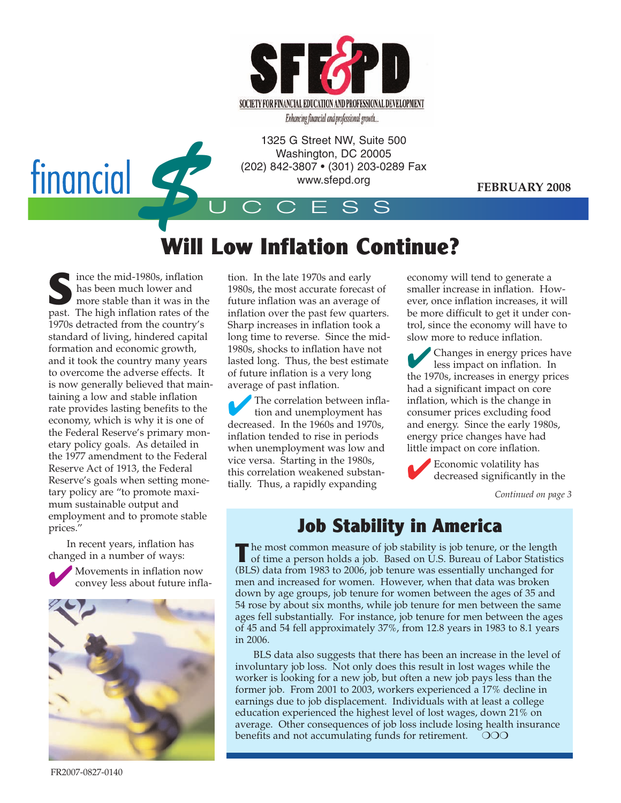

Enhancing Junaical and projessional growth...<br>
1325 G Street NW, Suite 500<br>
Washington, DC 20005<br>
(202) 842-3807 • (301) 203-0289<br>
www.sfepd.org<br>
C E S S Washington, DC 20005 (202) 842-3807 • (301) 203-0289 Fax www.sfepd.org

**FEBRUARY 2008**

## **Low Inflation Continue?**

UCCESS

**S**ince the mid-1980s, inflation<br>has been much lower and<br>more stable than it was in the has been much lower and past. The high inflation rates of the 1970s detracted from the country's standard of living, hindered capital formation and economic growth, and it took the country many years to overcome the adverse effects. It is now generally believed that maintaining a low and stable inflation rate provides lasting benefits to the economy, which is why it is one of the Federal Reserve's primary monetary policy goals. As detailed in the 1977 amendment to the Federal Reserve Act of 1913, the Federal Reserve's goals when setting monetary policy are "to promote maximum sustainable output and employment and to promote stable prices."

In recent years, inflation has changed in a number of ways:

✔ Movements in inflation now



FR2007-0827-0140

tion. In the late 1970s and early 1980s, the most accurate forecast of future inflation was an average of inflation over the past few quarters. Sharp increases in inflation took a long time to reverse. Since the mid-1980s, shocks to inflation have not lasted long. Thus, the best estimate of future inflation is a very long average of past inflation.

The correlation between inflation and unemployment has decreased. In the 1960s and 1970s, inflation tended to rise in periods when unemployment was low and vice versa. Starting in the 1980s, this correlation weakened substantially. Thus, a rapidly expanding

economy will tend to generate a smaller increase in inflation. However, once inflation increases, it will be more difficult to get it under control, since the economy will have to slow more to reduce inflation.

✔Changes in energy prices have less impact on inflation. In the 1970s, increases in energy prices had a significant impact on core inflation, which is the change in consumer prices excluding food and energy. Since the early 1980s, energy price changes have had little impact on core inflation.

Economic volatility has decreased significantly in the

*Continued on page 3*

### **Job Stability in America**

**T** he most common measure of job stability is job tenure, or the length of time a person holds a job. Based on U.S. Bureau of Labor Statistics (BLS) data from 1983 to 2006, job tenure was essentially unchanged for men and increased for women. However, when that data was broken down by age groups, job tenure for women between the ages of 35 and 54 rose by about six months, while job tenure for men between the same ages fell substantially. For instance, job tenure for men between the ages of 45 and 54 fell approximately 37%, from 12.8 years in 1983 to 8.1 years in 2006.

BLS data also suggests that there has been an increase in the level of involuntary job loss. Not only does this result in lost wages while the worker is looking for a new job, but often a new job pays less than the former job. From 2001 to 2003, workers experienced a 17% decline in earnings due to job displacement. Individuals with at least a college education experienced the highest level of lost wages, down 21% on average. Other consequences of job loss include losing health insurance benefits and not accumulating funds for retirement. OOO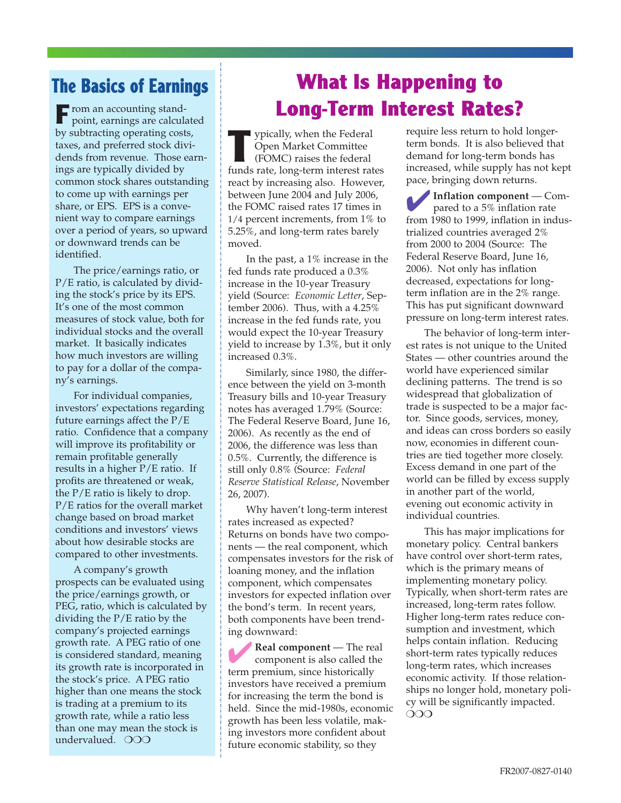## **The Basics of Earnings**

**F** rom an accounting stand-<br>point, earnings are calculated by subtracting operating costs, taxes, and preferred stock dividends from revenue. Those earnings are typically divided by common stock shares outstanding to come up with earnings per share, or EPS. EPS is a convenient way to compare earnings over a period of years, so upward or downward trends can be identified.

The price/earnings ratio, or P/E ratio, is calculated by dividing the stock's price by its EPS. It's one of the most common measures of stock value, both for individual stocks and the overall market. It basically indicates how much investors are willing to pay for a dollar of the company's earnings.

For individual companies, investors' expectations regarding future earnings affect the P/E ratio. Confidence that a company will improve its profitability or remain profitable generally results in a higher P/E ratio. If profits are threatened or weak, the P/E ratio is likely to drop. P/E ratios for the overall market change based on broad market conditions and investors' views about how desirable stocks are compared to other investments.

A company's growth prospects can be evaluated using the price/earnings growth, or PEG, ratio, which is calculated by dividing the P/E ratio by the company's projected earnings growth rate. A PEG ratio of one is considered standard, meaning its growth rate is incorporated in the stock's price. A PEG ratio higher than one means the stock is trading at a premium to its growth rate, while a ratio less than one may mean the stock is undervalued. ❍❍❍

## **What Is Happening to Long-Term Interest Rates?**

**T** ypically, when the Federal Open Market Committee (FOMC) raises the federal funds rate, long-term interest rates react by increasing also. However, between June 2004 and July 2006, the FOMC raised rates 17 times in 1/4 percent increments, from 1% to 5.25%, and long-term rates barely moved.

In the past, a 1% increase in the fed funds rate produced a 0.3% increase in the 10-year Treasury yield (Source: *Economic Letter*, September 2006). Thus, with a 4.25% increase in the fed funds rate, you would expect the 10-year Treasury yield to increase by 1.3%, but it only increased 0.3%.

Similarly, since 1980, the difference between the yield on 3-month Treasury bills and 10-year Treasury notes has averaged 1.79% (Source: The Federal Reserve Board, June 16, 2006). As recently as the end of 2006, the difference was less than 0.5%. Currently, the difference is still only 0.8% (Source: *Federal Reserve Statistical Release*, November 26, 2007).

Why haven't long-term interest rates increased as expected? Returns on bonds have two components — the real component, which compensates investors for the risk of loaning money, and the inflation component, which compensates investors for expected inflation over the bond's term. In recent years, both components have been trending downward:

✔**Real component** — The real component is also called the term premium, since historically investors have received a premium for increasing the term the bond is held. Since the mid-1980s, economic growth has been less volatile, making investors more confident about future economic stability, so they

require less return to hold longerterm bonds. It is also believed that demand for long-term bonds has increased, while supply has not kept pace, bringing down returns.

✔**Inflation component** — Compared to a 5% inflation rate from 1980 to 1999, inflation in industrialized countries averaged 2% from 2000 to 2004 (Source: The Federal Reserve Board, June 16, 2006). Not only has inflation decreased, expectations for longterm inflation are in the 2% range. This has put significant downward pressure on long-term interest rates.

The behavior of long-term interest rates is not unique to the United States — other countries around the world have experienced similar declining patterns. The trend is so widespread that globalization of trade is suspected to be a major factor. Since goods, services, money, and ideas can cross borders so easily now, economies in different countries are tied together more closely. Excess demand in one part of the world can be filled by excess supply in another part of the world, evening out economic activity in individual countries.

This has major implications for monetary policy. Central bankers have control over short-term rates, which is the primary means of implementing monetary policy. Typically, when short-term rates are increased, long-term rates follow. Higher long-term rates reduce consumption and investment, which helps contain inflation. Reducing short-term rates typically reduces long-term rates, which increases economic activity. If those relationships no longer hold, monetary policy will be significantly impacted. ❍❍❍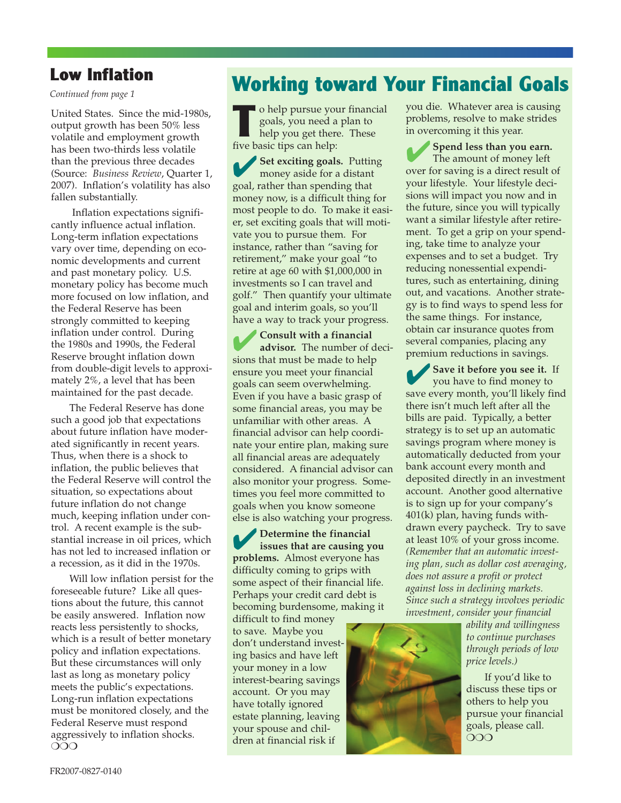#### **Low Inflation**

*Continued from page 1*

United States. Since the mid-1980s, output growth has been 50% less volatile and employment growth has been two-thirds less volatile than the previous three decades (Source: *Business Review*, Quarter 1, 2007). Inflation's volatility has also fallen substantially.

Inflation expectations significantly influence actual inflation. Long-term inflation expectations vary over time, depending on economic developments and current and past monetary policy. U.S. monetary policy has become much more focused on low inflation, and the Federal Reserve has been strongly committed to keeping inflation under control. During the 1980s and 1990s, the Federal Reserve brought inflation down from double-digit levels to approximately 2%, a level that has been maintained for the past decade.

The Federal Reserve has done such a good job that expectations about future inflation have moderated significantly in recent years. Thus, when there is a shock to inflation, the public believes that the Federal Reserve will control the situation, so expectations about future inflation do not change much, keeping inflation under control. A recent example is the substantial increase in oil prices, which has not led to increased inflation or a recession, as it did in the 1970s.

Will low inflation persist for the foreseeable future? Like all questions about the future, this cannot be easily answered. Inflation now reacts less persistently to shocks, which is a result of better monetary policy and inflation expectations. But these circumstances will only last as long as monetary policy meets the public's expectations. Long-run inflation expectations must be monitored closely, and the Federal Reserve must respond aggressively to inflation shocks. ❍❍❍

## **Working toward Your Financial Goals**

**T** o help pursue your financial goals, you need a plan to help you get there. These five basic tips can help:

✔**Set exciting goals.** Putting money aside for a distant goal, rather than spending that money now, is a difficult thing for most people to do. To make it easier, set exciting goals that will motivate you to pursue them. For instance, rather than "saving for retirement," make your goal "to retire at age 60 with \$1,000,000 in investments so I can travel and golf." Then quantify your ultimate goal and interim goals, so you'll have a way to track your progress.

✔**Consult with a financial advisor.** The number of decisions that must be made to help ensure you meet your financial goals can seem overwhelming. Even if you have a basic grasp of some financial areas, you may be unfamiliar with other areas. A financial advisor can help coordinate your entire plan, making sure all financial areas are adequately considered. A financial advisor can also monitor your progress. Sometimes you feel more committed to goals when you know someone else is also watching your progress.

✔**Determine the financial issues that are causing you problems.** Almost everyone has difficulty coming to grips with some aspect of their financial life. Perhaps your credit card debt is becoming burdensome, making it

difficult to find money to save. Maybe you don't understand investing basics and have left your money in a low interest-bearing savings account. Or you may have totally ignored estate planning, leaving your spouse and children at financial risk if

you die. Whatever area is causing problems, resolve to make strides in overcoming it this year.

Spend less than you earn. The amount of money left over for saving is a direct result of your lifestyle. Your lifestyle decisions will impact you now and in the future, since you will typically want a similar lifestyle after retirement. To get a grip on your spending, take time to analyze your expenses and to set a budget. Try reducing nonessential expenditures, such as entertaining, dining out, and vacations. Another strategy is to find ways to spend less for the same things. For instance, obtain car insurance quotes from several companies, placing any premium reductions in savings.

✔**Save it before you see it.** If you have to find money to save every month, you'll likely find there isn't much left after all the bills are paid. Typically, a better strategy is to set up an automatic savings program where money is automatically deducted from your bank account every month and deposited directly in an investment account. Another good alternative is to sign up for your company's 401(k) plan, having funds withdrawn every paycheck. Try to save at least 10% of your gross income. *(Remember that an automatic investing plan, such as dollar cost averaging, does not assure a profit or protect against loss in declining markets. Since such a strategy involves periodic investment, consider your financial*



*ability and willingness to continue purchases through periods of low price levels.)*

If you'd like to discuss these tips or others to help you pursue your financial goals, please call. ❍❍❍